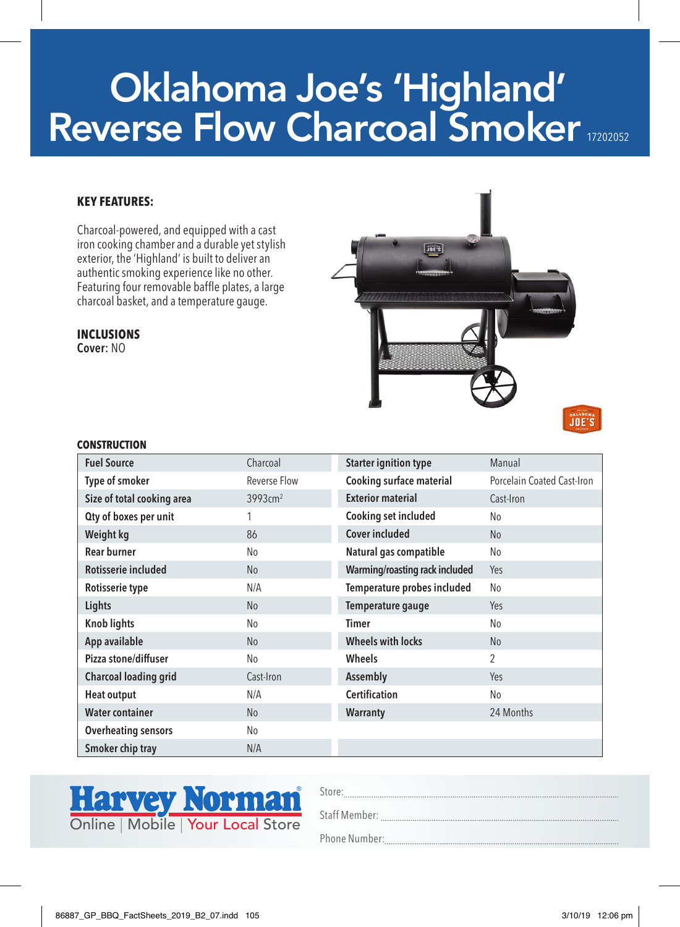# Oklahoma Joe's 'Highland' Reverse Flow Charcoal Smoker

### **KEY FEATURES:**

Charcoal-powered, and equipped with a cast iron cooking chamber and a durable yet stylish exterior, the 'Highland' is built to deliver an authentic smoking experience like no other. Featuring four removable baffle plates, a large charcoal basket, and a temperature gauge.

## **INCLUSIONS**

Cover: NO



#### **CONSTRUCTION**

| <b>Fuel Source</b>         | Charcoal            | <b>Starter ignition type</b>   | Manual                     |
|----------------------------|---------------------|--------------------------------|----------------------------|
| Type of smoker             | Reverse Flow        | Cooking surface material       | Porcelain Coated Cast-Iron |
| Size of total cooking area | 3993cm <sup>2</sup> | <b>Exterior material</b>       | Cast-Iron                  |
| Qty of boxes per unit      | 1                   | Cooking set included           | No                         |
| Weight kg                  | 86                  | <b>Cover included</b>          | N <sub>0</sub>             |
| <b>Rear burner</b>         | No                  | Natural gas compatible         | No                         |
| Rotisserie included        | <b>No</b>           | Warming/roasting rack included | Yes                        |
| Rotisserie type            | N/A                 | Temperature probes included    | No                         |
| Lights                     | <b>No</b>           | Temperature gauge              | Yes                        |
| <b>Knob lights</b>         | No                  | Timer                          | No                         |
| App available              | <b>No</b>           | <b>Wheels with locks</b>       | N <sub>0</sub>             |
| Pizza stone/diffuser       | No                  | Wheels                         | $\mathfrak{p}$             |
| Charcoal loading grid      | Cast-Iron           | Assembly                       | Yes                        |
| <b>Heat output</b>         | N/A                 | <b>Certification</b>           | No                         |
| <b>Water container</b>     | <b>No</b>           | Warranty                       | 24 Months                  |
| <b>Overheating sensors</b> | No                  |                                |                            |
| Smoker chip tray           | N/A                 |                                |                            |



Store:

Staff Member: Phone Number: